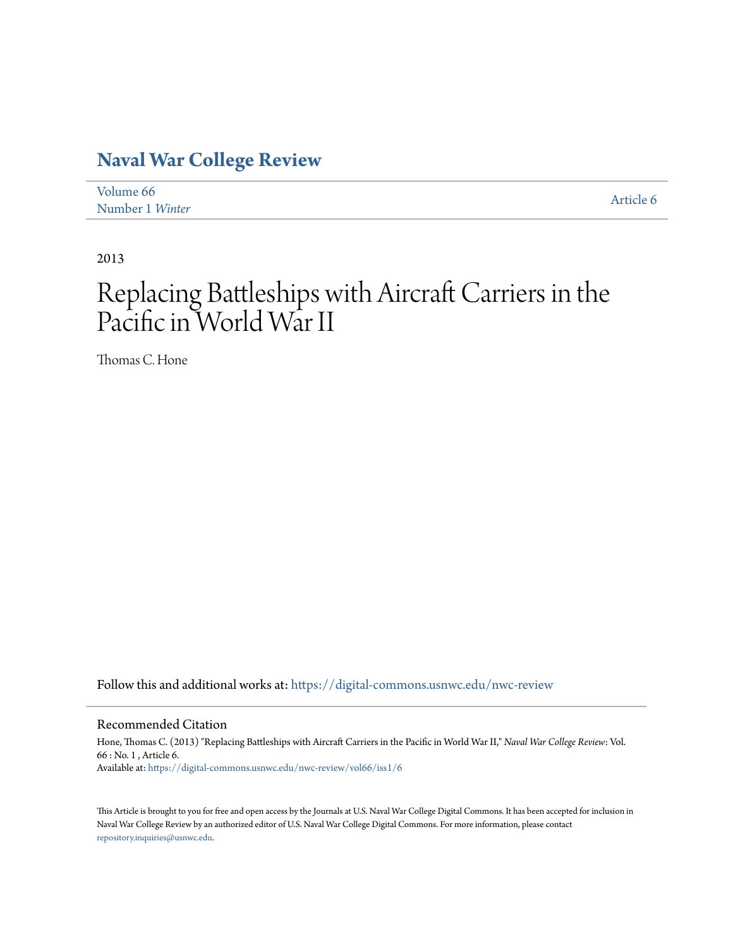## **[Naval War College Review](https://digital-commons.usnwc.edu/nwc-review?utm_source=digital-commons.usnwc.edu%2Fnwc-review%2Fvol66%2Fiss1%2F6&utm_medium=PDF&utm_campaign=PDFCoverPages)**

| Volume 66       | Article 6 |
|-----------------|-----------|
| Number 1 Winter |           |

2013

# Replacing Battleships with Aircraft Carriers in the Pacific in World War II

Thomas C. Hone

Follow this and additional works at: [https://digital-commons.usnwc.edu/nwc-review](https://digital-commons.usnwc.edu/nwc-review?utm_source=digital-commons.usnwc.edu%2Fnwc-review%2Fvol66%2Fiss1%2F6&utm_medium=PDF&utm_campaign=PDFCoverPages)

#### Recommended Citation

Hone, Thomas C. (2013) "Replacing Battleships with Aircraft Carriers in the Pacific in World War II," *Naval War College Review*: Vol. 66 : No. 1 , Article 6. Available at: [https://digital-commons.usnwc.edu/nwc-review/vol66/iss1/6](https://digital-commons.usnwc.edu/nwc-review/vol66/iss1/6?utm_source=digital-commons.usnwc.edu%2Fnwc-review%2Fvol66%2Fiss1%2F6&utm_medium=PDF&utm_campaign=PDFCoverPages)

This Article is brought to you for free and open access by the Journals at U.S. Naval War College Digital Commons. It has been accepted for inclusion in Naval War College Review by an authorized editor of U.S. Naval War College Digital Commons. For more information, please contact [repository.inquiries@usnwc.edu](mailto:repository.inquiries@usnwc.edu).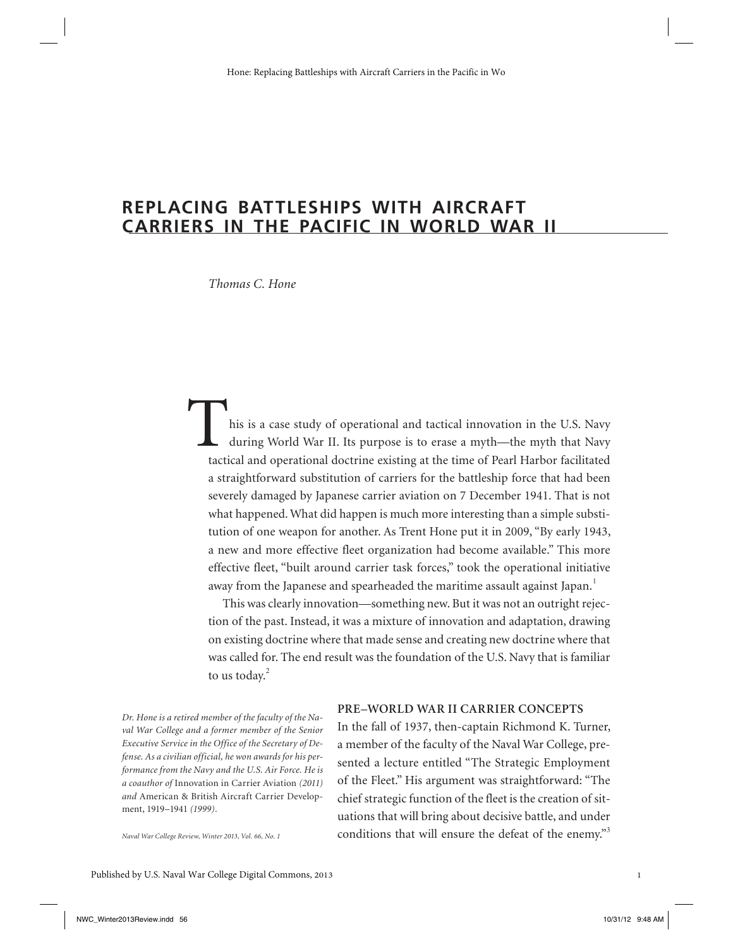### **REPLACING BATTLESHIPS WITH AIRCRAFT CARRIERS IN THE PACIFIC IN WORLD WAR II**

*Thomas C. Hone*

his is a case study of operational and tactical innovation in the U.S. Navy during World War II. Its purpose is to erase a myth—the myth that Navy tactical and operational doctrine existing at the time of Pearl Harbor facilitated a straightforward substitution of carriers for the battleship force that had been severely damaged by Japanese carrier aviation on 7 December 1941. That is not what happened. What did happen is much more interesting than a simple substitution of one weapon for another. As Trent Hone put it in 2009, "By early 1943, a new and more effective fleet organization had become available." This more effective fleet, "built around carrier task forces," took the operational initiative away from the Japanese and spearheaded the maritime assault against Japan.<sup>1</sup>

This was clearly innovation—something new. But it was not an outright rejection of the past. Instead, it was a mixture of innovation and adaptation, drawing on existing doctrine where that made sense and creating new doctrine where that was called for. The end result was the foundation of the U.S. Navy that is familiar to us today.<sup>2</sup>

*Dr. Hone is a retired member of the faculty of the Naval War College and a former member of the Senior Executive Service in the Office of the Secretary of Defense. As a civilian official, he won awards for his performance from the Navy and the U.S. Air Force. He is a coauthor of* Innovation in Carrier Aviation *(2011) and* American & British Aircraft Carrier Development, 1919–1941 *(1999).* 

*Naval War College Review, Winter 2013, Vol. 66, No. 1*

#### **PRE–WORLD WAR II CARRIER CONCEPTS**

In the fall of 1937, then-captain Richmond K. Turner, a member of the faculty of the Naval War College, presented a lecture entitled "The Strategic Employment of the Fleet." His argument was straightforward: "The chief strategic function of the fleet is the creation of situations that will bring about decisive battle, and under conditions that will ensure the defeat of the enemy."<sup>3</sup>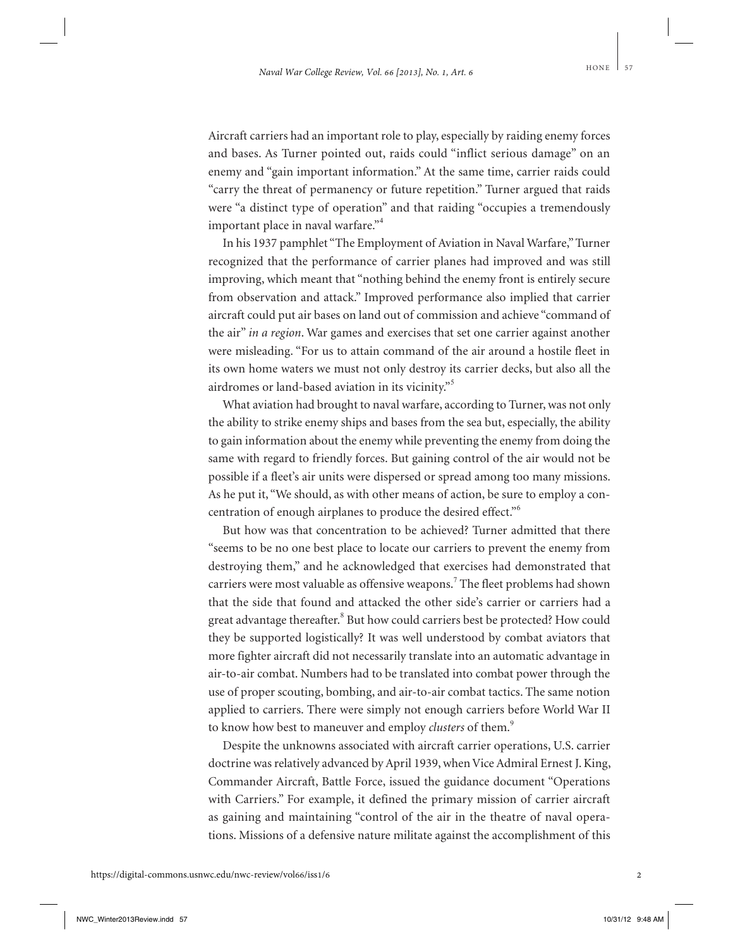Aircraft carriers had an important role to play, especially by raiding enemy forces and bases. As Turner pointed out, raids could "inflict serious damage" on an enemy and "gain important information." At the same time, carrier raids could "carry the threat of permanency or future repetition." Turner argued that raids were "a distinct type of operation" and that raiding "occupies a tremendously important place in naval warfare."<sup>4</sup>

In his 1937 pamphlet "The Employment of Aviation in Naval Warfare," Turner recognized that the performance of carrier planes had improved and was still improving, which meant that "nothing behind the enemy front is entirely secure from observation and attack." Improved performance also implied that carrier aircraft could put air bases on land out of commission and achieve "command of the air" *in a region*. War games and exercises that set one carrier against another were misleading. "For us to attain command of the air around a hostile fleet in its own home waters we must not only destroy its carrier decks, but also all the airdromes or land-based aviation in its vicinity."<sup>5</sup>

What aviation had brought to naval warfare, according to Turner, was not only the ability to strike enemy ships and bases from the sea but, especially, the ability to gain information about the enemy while preventing the enemy from doing the same with regard to friendly forces. But gaining control of the air would not be possible if a fleet's air units were dispersed or spread among too many missions. As he put it, "We should, as with other means of action, be sure to employ a concentration of enough airplanes to produce the desired effect."<sup>6</sup>

But how was that concentration to be achieved? Turner admitted that there "seems to be no one best place to locate our carriers to prevent the enemy from destroying them," and he acknowledged that exercises had demonstrated that carriers were most valuable as offensive weapons.<sup>7</sup> The fleet problems had shown that the side that found and attacked the other side's carrier or carriers had a great advantage thereafter.<sup>8</sup> But how could carriers best be protected? How could they be supported logistically? It was well understood by combat aviators that more fighter aircraft did not necessarily translate into an automatic advantage in air-to-air combat. Numbers had to be translated into combat power through the use of proper scouting, bombing, and air-to-air combat tactics. The same notion applied to carriers. There were simply not enough carriers before World War II to know how best to maneuver and employ *clusters* of them.<sup>9</sup>

Despite the unknowns associated with aircraft carrier operations, U.S. carrier doctrine was relatively advanced by April 1939, when Vice Admiral Ernest J. King, Commander Aircraft, Battle Force, issued the guidance document "Operations with Carriers." For example, it defined the primary mission of carrier aircraft as gaining and maintaining "control of the air in the theatre of naval operations. Missions of a defensive nature militate against the accomplishment of this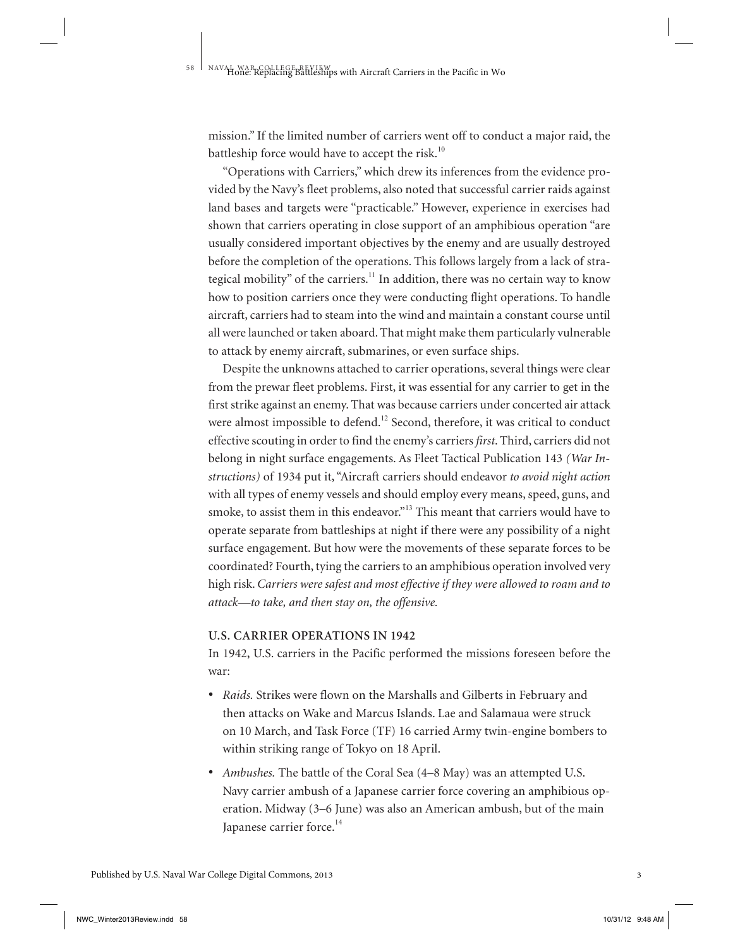mission." If the limited number of carriers went off to conduct a major raid, the battleship force would have to accept the risk. $10$ 

"Operations with Carriers," which drew its inferences from the evidence provided by the Navy's fleet problems, also noted that successful carrier raids against land bases and targets were "practicable." However, experience in exercises had shown that carriers operating in close support of an amphibious operation "are usually considered important objectives by the enemy and are usually destroyed before the completion of the operations. This follows largely from a lack of strategical mobility" of the carriers.<sup>11</sup> In addition, there was no certain way to know how to position carriers once they were conducting flight operations. To handle aircraft, carriers had to steam into the wind and maintain a constant course until all were launched or taken aboard. That might make them particularly vulnerable to attack by enemy aircraft, submarines, or even surface ships.

Despite the unknowns attached to carrier operations, several things were clear from the prewar fleet problems. First, it was essential for any carrier to get in the first strike against an enemy. That was because carriers under concerted air attack were almost impossible to defend.<sup>12</sup> Second, therefore, it was critical to conduct effective scouting in order to find the enemy's carriers *first*. Third, carriers did not belong in night surface engagements. As Fleet Tactical Publication 143 *(War Instructions)* of 1934 put it, "Aircraft carriers should endeavor *to avoid night action* with all types of enemy vessels and should employ every means, speed, guns, and smoke, to assist them in this endeavor."<sup>13</sup> This meant that carriers would have to operate separate from battleships at night if there were any possibility of a night surface engagement. But how were the movements of these separate forces to be coordinated? Fourth, tying the carriers to an amphibious operation involved very high risk. *Carriers were safest and most effective if they were allowed to roam and to attack—to take, and then stay on, the offensive.*

#### **U.S. CARRIER OPERATIONS IN 1942**

In 1942, U.S. carriers in the Pacific performed the missions foreseen before the war:

- *Raids.* Strikes were flown on the Marshalls and Gilberts in February and then attacks on Wake and Marcus Islands. Lae and Salamaua were struck on 10 March, and Task Force (TF) 16 carried Army twin-engine bombers to within striking range of Tokyo on 18 April.
- *Ambushes.* The battle of the Coral Sea (4–8 May) was an attempted U.S. Navy carrier ambush of a Japanese carrier force covering an amphibious operation. Midway (3–6 June) was also an American ambush, but of the main Japanese carrier force.<sup>14</sup>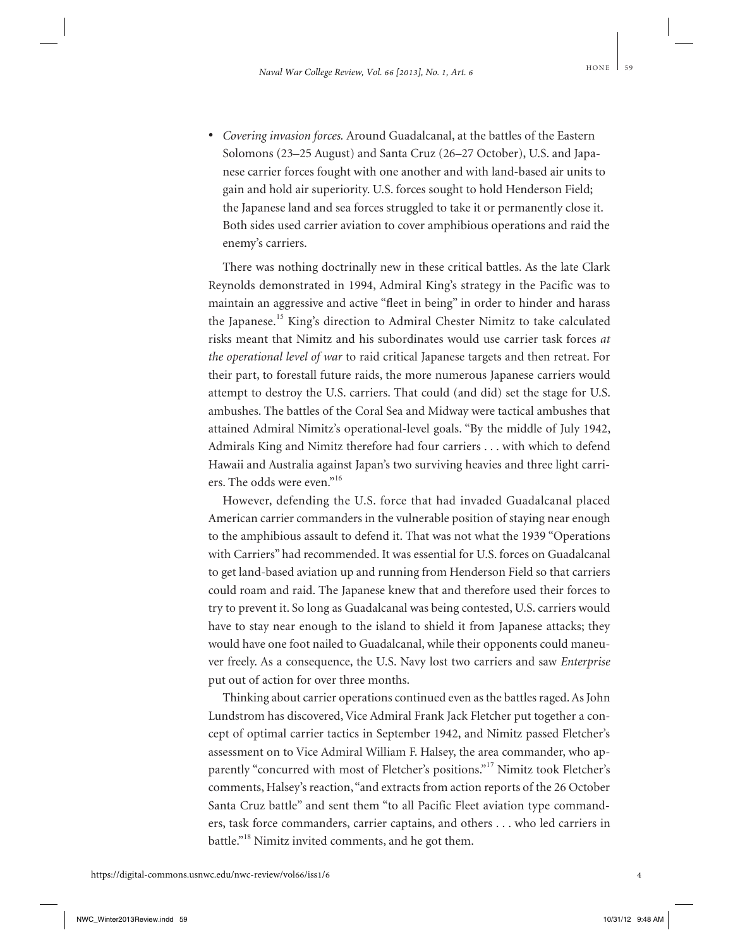• *Covering invasion forces.* Around Guadalcanal, at the battles of the Eastern Solomons (23–25 August) and Santa Cruz (26–27 October), U.S. and Japanese carrier forces fought with one another and with land-based air units to gain and hold air superiority. U.S. forces sought to hold Henderson Field; the Japanese land and sea forces struggled to take it or permanently close it. Both sides used carrier aviation to cover amphibious operations and raid the enemy's carriers.

There was nothing doctrinally new in these critical battles. As the late Clark Reynolds demonstrated in 1994, Admiral King's strategy in the Pacific was to maintain an aggressive and active "fleet in being" in order to hinder and harass the Japanese.<sup>15</sup> King's direction to Admiral Chester Nimitz to take calculated risks meant that Nimitz and his subordinates would use carrier task forces *at the operational level of war* to raid critical Japanese targets and then retreat. For their part, to forestall future raids, the more numerous Japanese carriers would attempt to destroy the U.S. carriers. That could (and did) set the stage for U.S. ambushes. The battles of the Coral Sea and Midway were tactical ambushes that attained Admiral Nimitz's operational-level goals. "By the middle of July 1942, Admirals King and Nimitz therefore had four carriers . . . with which to defend Hawaii and Australia against Japan's two surviving heavies and three light carriers. The odds were even."<sup>16</sup>

However, defending the U.S. force that had invaded Guadalcanal placed American carrier commanders in the vulnerable position of staying near enough to the amphibious assault to defend it. That was not what the 1939 "Operations with Carriers" had recommended. It was essential for U.S. forces on Guadalcanal to get land-based aviation up and running from Henderson Field so that carriers could roam and raid. The Japanese knew that and therefore used their forces to try to prevent it. So long as Guadalcanal was being contested, U.S. carriers would have to stay near enough to the island to shield it from Japanese attacks; they would have one foot nailed to Guadalcanal, while their opponents could maneuver freely. As a consequence, the U.S. Navy lost two carriers and saw *Enterprise* put out of action for over three months.

Thinking about carrier operations continued even as the battles raged. As John Lundstrom has discovered, Vice Admiral Frank Jack Fletcher put together a concept of optimal carrier tactics in September 1942, and Nimitz passed Fletcher's assessment on to Vice Admiral William F. Halsey, the area commander, who apparently "concurred with most of Fletcher's positions."<sup>17</sup> Nimitz took Fletcher's comments, Halsey's reaction, "and extracts from action reports of the 26 October Santa Cruz battle" and sent them "to all Pacific Fleet aviation type commanders, task force commanders, carrier captains, and others . . . who led carriers in battle."<sup>18</sup> Nimitz invited comments, and he got them.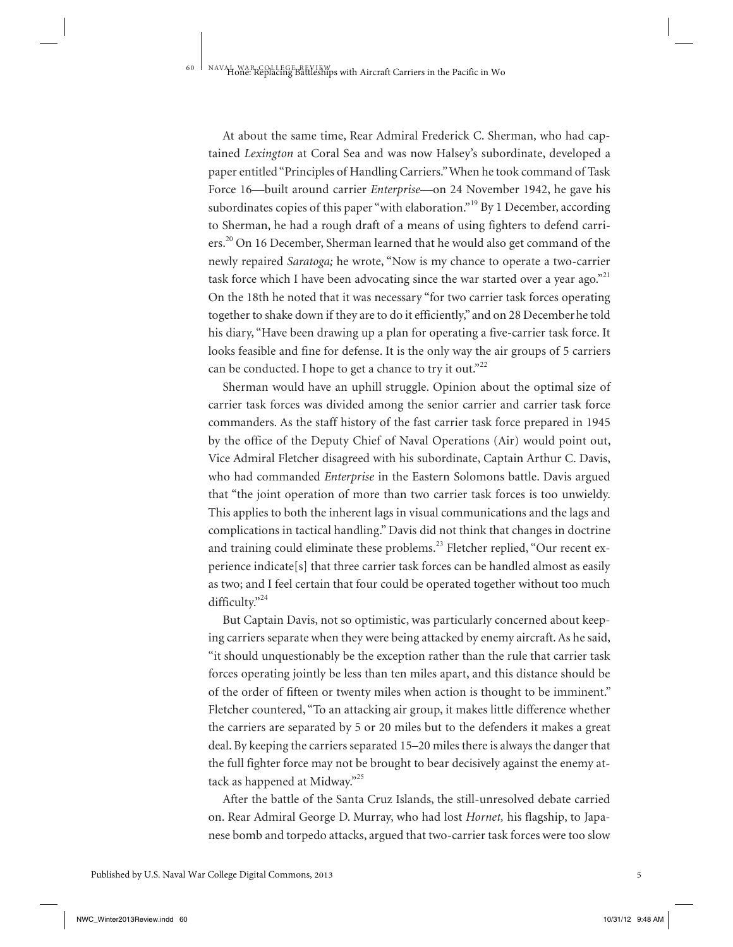At about the same time, Rear Admiral Frederick C. Sherman, who had captained *Lexington* at Coral Sea and was now Halsey's subordinate, developed a paper entitled "Principles of Handling Carriers." When he took command of Task Force 16—built around carrier *Enterprise*—on 24 November 1942, he gave his subordinates copies of this paper "with elaboration."<sup>19</sup> By 1 December, according to Sherman, he had a rough draft of a means of using fighters to defend carriers.<sup>20</sup> On 16 December, Sherman learned that he would also get command of the newly repaired *Saratoga;* he wrote, "Now is my chance to operate a two-carrier task force which I have been advocating since the war started over a year ago."<sup>21</sup> On the 18th he noted that it was necessary "for two carrier task forces operating together to shake down if they are to do it efficiently," and on 28 Decemberhe told his diary, "Have been drawing up a plan for operating a five-carrier task force. It looks feasible and fine for defense. It is the only way the air groups of 5 carriers can be conducted. I hope to get a chance to try it out."<sup>22</sup>

Sherman would have an uphill struggle. Opinion about the optimal size of carrier task forces was divided among the senior carrier and carrier task force commanders. As the staff history of the fast carrier task force prepared in 1945 by the office of the Deputy Chief of Naval Operations (Air) would point out, Vice Admiral Fletcher disagreed with his subordinate, Captain Arthur C. Davis, who had commanded *Enterprise* in the Eastern Solomons battle. Davis argued that "the joint operation of more than two carrier task forces is too unwieldy. This applies to both the inherent lags in visual communications and the lags and complications in tactical handling." Davis did not think that changes in doctrine and training could eliminate these problems.<sup>23</sup> Fletcher replied, "Our recent experience indicate[s] that three carrier task forces can be handled almost as easily as two; and I feel certain that four could be operated together without too much difficulty."<sup>24</sup>

But Captain Davis, not so optimistic, was particularly concerned about keeping carriers separate when they were being attacked by enemy aircraft. As he said, "it should unquestionably be the exception rather than the rule that carrier task forces operating jointly be less than ten miles apart, and this distance should be of the order of fifteen or twenty miles when action is thought to be imminent." Fletcher countered, "To an attacking air group, it makes little difference whether the carriers are separated by 5 or 20 miles but to the defenders it makes a great deal. By keeping the carriers separated 15–20 miles there is always the danger that the full fighter force may not be brought to bear decisively against the enemy attack as happened at Midway."<sup>25</sup>

After the battle of the Santa Cruz Islands, the still-unresolved debate carried on. Rear Admiral George D. Murray, who had lost *Hornet,* his flagship, to Japanese bomb and torpedo attacks, argued that two-carrier task forces were too slow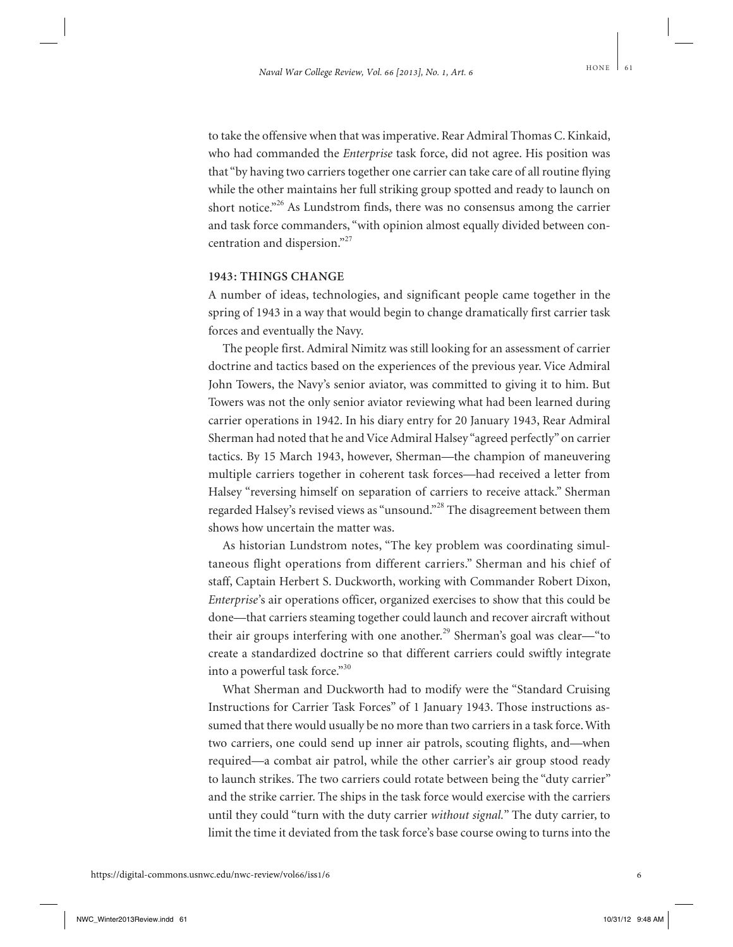to take the offensive when that was imperative. Rear Admiral Thomas C. Kinkaid, who had commanded the *Enterprise* task force, did not agree. His position was that "by having two carriers together one carrier can take care of all routine flying while the other maintains her full striking group spotted and ready to launch on short notice."<sup>26</sup> As Lundstrom finds, there was no consensus among the carrier and task force commanders, "with opinion almost equally divided between concentration and dispersion."<sup>27</sup>

#### **1943: THINGS CHANGE**

A number of ideas, technologies, and significant people came together in the spring of 1943 in a way that would begin to change dramatically first carrier task forces and eventually the Navy.

The people first. Admiral Nimitz was still looking for an assessment of carrier doctrine and tactics based on the experiences of the previous year. Vice Admiral John Towers, the Navy's senior aviator, was committed to giving it to him. But Towers was not the only senior aviator reviewing what had been learned during carrier operations in 1942. In his diary entry for 20 January 1943, Rear Admiral Sherman had noted that he and Vice Admiral Halsey "agreed perfectly" on carrier tactics. By 15 March 1943, however, Sherman—the champion of maneuvering multiple carriers together in coherent task forces—had received a letter from Halsey "reversing himself on separation of carriers to receive attack." Sherman regarded Halsey's revised views as "unsound."<sup>28</sup> The disagreement between them shows how uncertain the matter was.

As historian Lundstrom notes, "The key problem was coordinating simultaneous flight operations from different carriers." Sherman and his chief of staff, Captain Herbert S. Duckworth, working with Commander Robert Dixon, *Enterprise'*s air operations officer, organized exercises to show that this could be done—that carriers steaming together could launch and recover aircraft without their air groups interfering with one another.<sup>29</sup> Sherman's goal was clear—"to create a standardized doctrine so that different carriers could swiftly integrate into a powerful task force."<sup>30</sup>

What Sherman and Duckworth had to modify were the "Standard Cruising Instructions for Carrier Task Forces" of 1 January 1943. Those instructions assumed that there would usually be no more than two carriers in a task force. With two carriers, one could send up inner air patrols, scouting flights, and—when required—a combat air patrol, while the other carrier's air group stood ready to launch strikes. The two carriers could rotate between being the "duty carrier" and the strike carrier. The ships in the task force would exercise with the carriers until they could "turn with the duty carrier *without signal.*" The duty carrier, to limit the time it deviated from the task force's base course owing to turns into the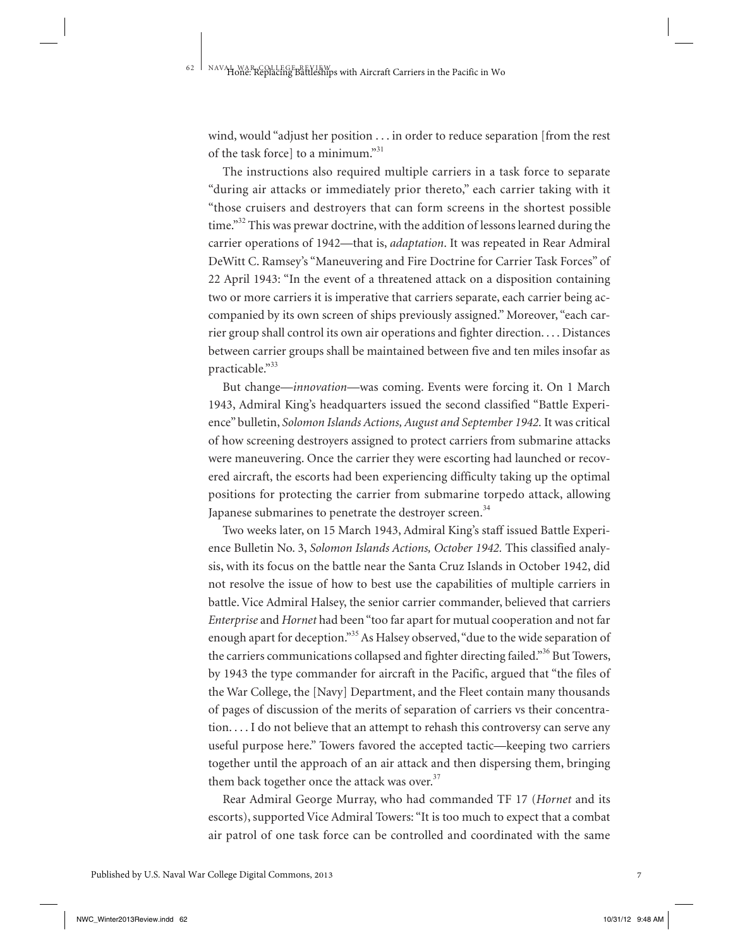wind, would "adjust her position . . . in order to reduce separation [from the rest of the task force] to a minimum."<sup>31</sup>

The instructions also required multiple carriers in a task force to separate "during air attacks or immediately prior thereto," each carrier taking with it "those cruisers and destroyers that can form screens in the shortest possible time."<sup>32</sup> This was prewar doctrine, with the addition of lessons learned during the carrier operations of 1942—that is, *adaptation*. It was repeated in Rear Admiral DeWitt C. Ramsey's "Maneuvering and Fire Doctrine for Carrier Task Forces" of 22 April 1943: "In the event of a threatened attack on a disposition containing two or more carriers it is imperative that carriers separate, each carrier being accompanied by its own screen of ships previously assigned." Moreover, "each carrier group shall control its own air operations and fighter direction. . . . Distances between carrier groups shall be maintained between five and ten miles insofar as practicable."33

But change—*innovation*—was coming. Events were forcing it. On 1 March 1943, Admiral King's headquarters issued the second classified "Battle Experience" bulletin, *Solomon Islands Actions, August and September 1942.* It was critical of how screening destroyers assigned to protect carriers from submarine attacks were maneuvering. Once the carrier they were escorting had launched or recovered aircraft, the escorts had been experiencing difficulty taking up the optimal positions for protecting the carrier from submarine torpedo attack, allowing Japanese submarines to penetrate the destroyer screen.<sup>34</sup>

Two weeks later, on 15 March 1943, Admiral King's staff issued Battle Experience Bulletin No. 3, *Solomon Islands Actions, October 1942.* This classified analysis, with its focus on the battle near the Santa Cruz Islands in October 1942, did not resolve the issue of how to best use the capabilities of multiple carriers in battle. Vice Admiral Halsey, the senior carrier commander, believed that carriers *Enterprise* and *Hornet* had been "too far apart for mutual cooperation and not far enough apart for deception."<sup>35</sup> As Halsey observed, "due to the wide separation of the carriers communications collapsed and fighter directing failed."<sup>36</sup> But Towers, by 1943 the type commander for aircraft in the Pacific, argued that "the files of the War College, the [Navy] Department, and the Fleet contain many thousands of pages of discussion of the merits of separation of carriers vs their concentration. . . . I do not believe that an attempt to rehash this controversy can serve any useful purpose here." Towers favored the accepted tactic—keeping two carriers together until the approach of an air attack and then dispersing them, bringing them back together once the attack was over. $37$ 

Rear Admiral George Murray, who had commanded TF 17 (*Hornet* and its escorts), supported Vice Admiral Towers: "It is too much to expect that a combat air patrol of one task force can be controlled and coordinated with the same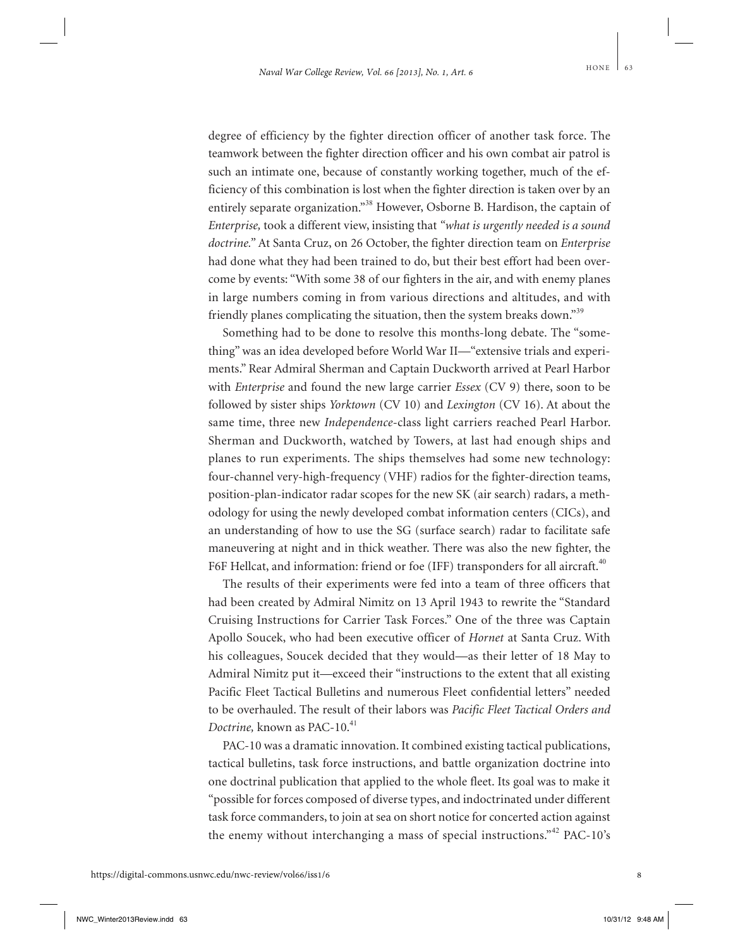degree of efficiency by the fighter direction officer of another task force. The teamwork between the fighter direction officer and his own combat air patrol is such an intimate one, because of constantly working together, much of the efficiency of this combination is lost when the fighter direction is taken over by an entirely separate organization."<sup>38</sup> However, Osborne B. Hardison, the captain of *Enterprise,* took a different view, insisting that *"what is urgently needed is a sound doctrine."* At Santa Cruz, on 26 October, the fighter direction team on *Enterprise* had done what they had been trained to do, but their best effort had been overcome by events: "With some 38 of our fighters in the air, and with enemy planes in large numbers coming in from various directions and altitudes, and with friendly planes complicating the situation, then the system breaks down."<sup>39</sup>

Something had to be done to resolve this months-long debate. The "something" was an idea developed before World War II—"extensive trials and experiments." Rear Admiral Sherman and Captain Duckworth arrived at Pearl Harbor with *Enterprise* and found the new large carrier *Essex* (CV 9) there, soon to be followed by sister ships *Yorktown* (CV 10) and *Lexington* (CV 16). At about the same time, three new *Independence-*class light carriers reached Pearl Harbor. Sherman and Duckworth, watched by Towers, at last had enough ships and planes to run experiments. The ships themselves had some new technology: four-channel very-high-frequency (VHF) radios for the fighter-direction teams, position-plan-indicator radar scopes for the new SK (air search) radars, a methodology for using the newly developed combat information centers (CICs), and an understanding of how to use the SG (surface search) radar to facilitate safe maneuvering at night and in thick weather. There was also the new fighter, the F6F Hellcat, and information: friend or foe (IFF) transponders for all aircraft.<sup>40</sup>

The results of their experiments were fed into a team of three officers that had been created by Admiral Nimitz on 13 April 1943 to rewrite the "Standard Cruising Instructions for Carrier Task Forces." One of the three was Captain Apollo Soucek, who had been executive officer of *Hornet* at Santa Cruz. With his colleagues, Soucek decided that they would—as their letter of 18 May to Admiral Nimitz put it—exceed their "instructions to the extent that all existing Pacific Fleet Tactical Bulletins and numerous Fleet confidential letters" needed to be overhauled. The result of their labors was *Pacific Fleet Tactical Orders and Doctrine*, known as PAC-10.<sup>41</sup>

PAC-10 was a dramatic innovation. It combined existing tactical publications, tactical bulletins, task force instructions, and battle organization doctrine into one doctrinal publication that applied to the whole fleet. Its goal was to make it "possible for forces composed of diverse types, and indoctrinated under different task force commanders, to join at sea on short notice for concerted action against the enemy without interchanging a mass of special instructions."<sup>42</sup> PAC-10's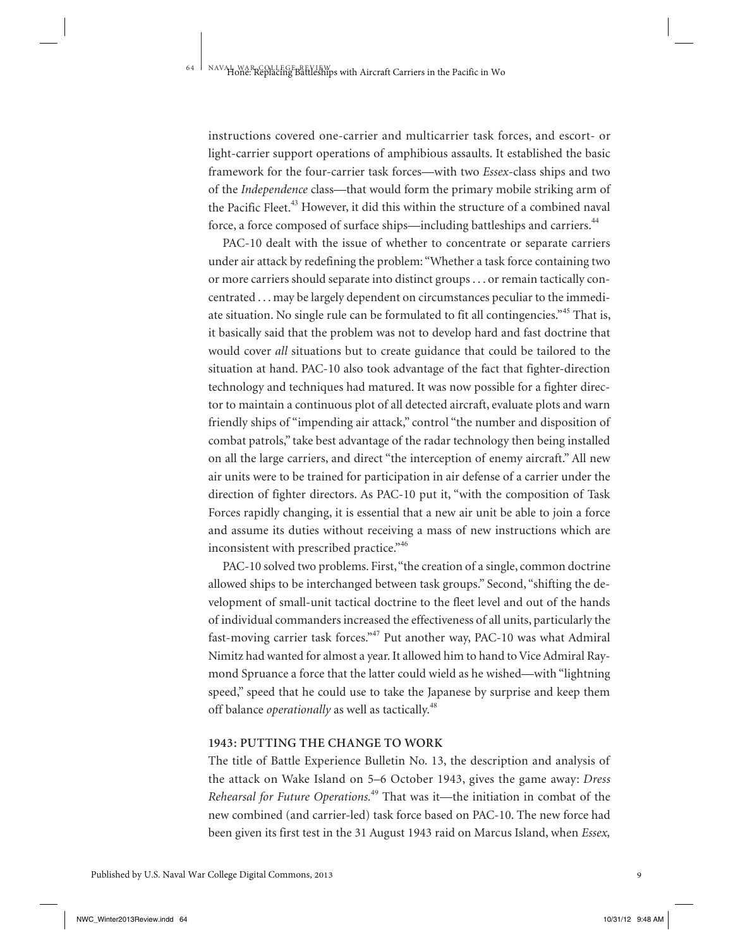instructions covered one-carrier and multicarrier task forces, and escort- or light-carrier support operations of amphibious assaults. It established the basic framework for the four-carrier task forces—with two *Essex-*class ships and two of the *Independence* class—that would form the primary mobile striking arm of the Pacific Fleet.<sup>43</sup> However, it did this within the structure of a combined naval force, a force composed of surface ships—including battleships and carriers.<sup>44</sup>

PAC-10 dealt with the issue of whether to concentrate or separate carriers under air attack by redefining the problem: "Whether a task force containing two or more carriers should separate into distinct groups . . . or remain tactically concentrated . . . may be largely dependent on circumstances peculiar to the immediate situation. No single rule can be formulated to fit all contingencies.<sup>"45</sup> That is, it basically said that the problem was not to develop hard and fast doctrine that would cover *all* situations but to create guidance that could be tailored to the situation at hand. PAC-10 also took advantage of the fact that fighter-direction technology and techniques had matured. It was now possible for a fighter director to maintain a continuous plot of all detected aircraft, evaluate plots and warn friendly ships of "impending air attack," control "the number and disposition of combat patrols," take best advantage of the radar technology then being installed on all the large carriers, and direct "the interception of enemy aircraft." All new air units were to be trained for participation in air defense of a carrier under the direction of fighter directors. As PAC-10 put it, "with the composition of Task Forces rapidly changing, it is essential that a new air unit be able to join a force and assume its duties without receiving a mass of new instructions which are inconsistent with prescribed practice." 46

PAC-10 solved two problems. First, "the creation of a single, common doctrine allowed ships to be interchanged between task groups." Second, "shifting the development of small-unit tactical doctrine to the fleet level and out of the hands of individual commanders increased the effectiveness of all units, particularly the fast-moving carrier task forces."<sup>47</sup> Put another way, PAC-10 was what Admiral Nimitz had wanted for almost a year. It allowed him to hand to Vice Admiral Raymond Spruance a force that the latter could wield as he wished—with "lightning speed," speed that he could use to take the Japanese by surprise and keep them off balance *operationally* as well as tactically.<sup>48</sup>

#### **1943: PUTTING THE CHANGE TO WORK**

The title of Battle Experience Bulletin No. 13, the description and analysis of the attack on Wake Island on 5–6 October 1943, gives the game away: *Dress Rehearsal for Future Operations.*<sup>49</sup> That was it—the initiation in combat of the new combined (and carrier-led) task force based on PAC-10. The new force had been given its first test in the 31 August 1943 raid on Marcus Island, when *Essex,*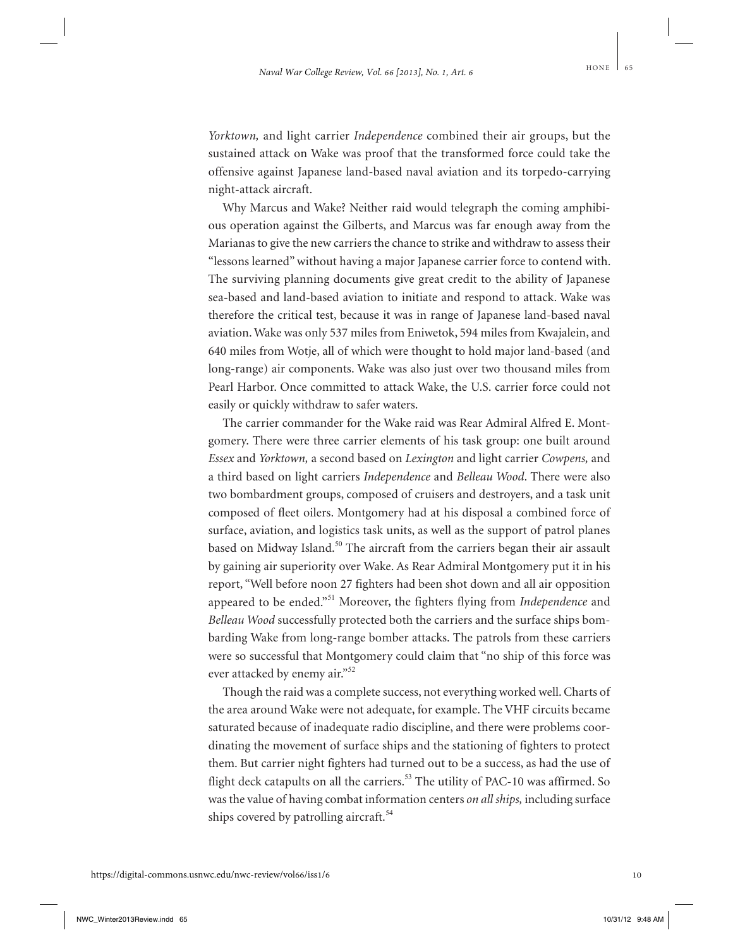*Yorktown,* and light carrier *Independence* combined their air groups, but the sustained attack on Wake was proof that the transformed force could take the offensive against Japanese land-based naval aviation and its torpedo-carrying night-attack aircraft.

Why Marcus and Wake? Neither raid would telegraph the coming amphibious operation against the Gilberts, and Marcus was far enough away from the Marianas to give the new carriers the chance to strike and withdraw to assess their "lessons learned" without having a major Japanese carrier force to contend with. The surviving planning documents give great credit to the ability of Japanese sea-based and land-based aviation to initiate and respond to attack. Wake was therefore the critical test, because it was in range of Japanese land-based naval aviation. Wake was only 537 miles from Eniwetok, 594 miles from Kwajalein, and 640 miles from Wotje, all of which were thought to hold major land-based (and long-range) air components. Wake was also just over two thousand miles from Pearl Harbor. Once committed to attack Wake, the U.S. carrier force could not easily or quickly withdraw to safer waters.

The carrier commander for the Wake raid was Rear Admiral Alfred E. Montgomery. There were three carrier elements of his task group: one built around *Essex* and *Yorktown,* a second based on *Lexington* and light carrier *Cowpens,* and a third based on light carriers *Independence* and *Belleau Wood*. There were also two bombardment groups, composed of cruisers and destroyers, and a task unit composed of fleet oilers. Montgomery had at his disposal a combined force of surface, aviation, and logistics task units, as well as the support of patrol planes based on Midway Island.<sup>50</sup> The aircraft from the carriers began their air assault by gaining air superiority over Wake. As Rear Admiral Montgomery put it in his report, "Well before noon 27 fighters had been shot down and all air opposition appeared to be ended."<sup>51</sup> Moreover, the fighters flying from *Independence* and *Belleau Wood* successfully protected both the carriers and the surface ships bombarding Wake from long-range bomber attacks. The patrols from these carriers were so successful that Montgomery could claim that "no ship of this force was ever attacked by enemy air."<sup>52</sup>

Though the raid was a complete success, not everything worked well. Charts of the area around Wake were not adequate, for example. The VHF circuits became saturated because of inadequate radio discipline, and there were problems coordinating the movement of surface ships and the stationing of fighters to protect them. But carrier night fighters had turned out to be a success, as had the use of flight deck catapults on all the carriers.<sup>53</sup> The utility of PAC-10 was affirmed. So was the value of having combat information centers *on all ships,* including surface ships covered by patrolling aircraft.<sup>54</sup>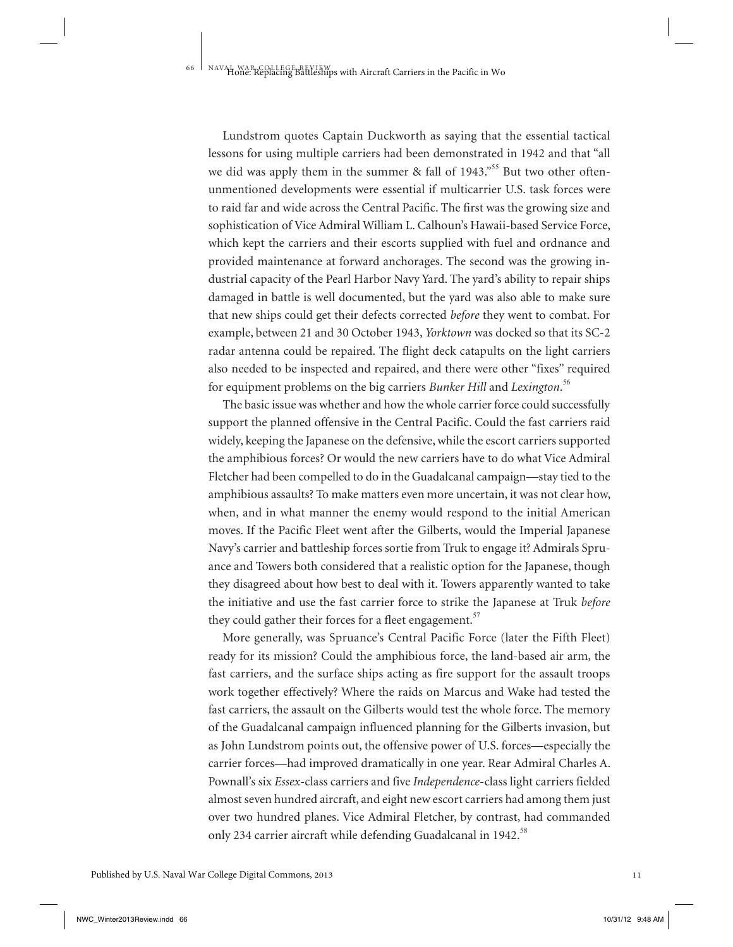Lundstrom quotes Captain Duckworth as saying that the essential tactical lessons for using multiple carriers had been demonstrated in 1942 and that "all we did was apply them in the summer  $\&$  fall of 1943.<sup>555</sup> But two other oftenunmentioned developments were essential if multicarrier U.S. task forces were to raid far and wide across the Central Pacific. The first was the growing size and sophistication of Vice Admiral William L. Calhoun's Hawaii-based Service Force, which kept the carriers and their escorts supplied with fuel and ordnance and provided maintenance at forward anchorages. The second was the growing industrial capacity of the Pearl Harbor Navy Yard. The yard's ability to repair ships damaged in battle is well documented, but the yard was also able to make sure that new ships could get their defects corrected *before* they went to combat. For example, between 21 and 30 October 1943, *Yorktown* was docked so that its SC-2 radar antenna could be repaired. The flight deck catapults on the light carriers also needed to be inspected and repaired, and there were other "fixes" required for equipment problems on the big carriers *Bunker Hill* and *Lexington*. 56

The basic issue was whether and how the whole carrier force could successfully support the planned offensive in the Central Pacific. Could the fast carriers raid widely, keeping the Japanese on the defensive, while the escort carriers supported the amphibious forces? Or would the new carriers have to do what Vice Admiral Fletcher had been compelled to do in the Guadalcanal campaign—stay tied to the amphibious assaults? To make matters even more uncertain, it was not clear how, when, and in what manner the enemy would respond to the initial American moves. If the Pacific Fleet went after the Gilberts, would the Imperial Japanese Navy's carrier and battleship forces sortie from Truk to engage it? Admirals Spruance and Towers both considered that a realistic option for the Japanese, though they disagreed about how best to deal with it. Towers apparently wanted to take the initiative and use the fast carrier force to strike the Japanese at Truk *before* they could gather their forces for a fleet engagement. $57$ 

More generally, was Spruance's Central Pacific Force (later the Fifth Fleet) ready for its mission? Could the amphibious force, the land-based air arm, the fast carriers, and the surface ships acting as fire support for the assault troops work together effectively? Where the raids on Marcus and Wake had tested the fast carriers, the assault on the Gilberts would test the whole force. The memory of the Guadalcanal campaign influenced planning for the Gilberts invasion, but as John Lundstrom points out, the offensive power of U.S. forces—especially the carrier forces—had improved dramatically in one year. Rear Admiral Charles A. Pownall's six *Essex*-class carriers and five *Independence*-class light carriers fielded almost seven hundred aircraft, and eight new escort carriers had among them just over two hundred planes. Vice Admiral Fletcher, by contrast, had commanded only 234 carrier aircraft while defending Guadalcanal in 1942.<sup>58</sup>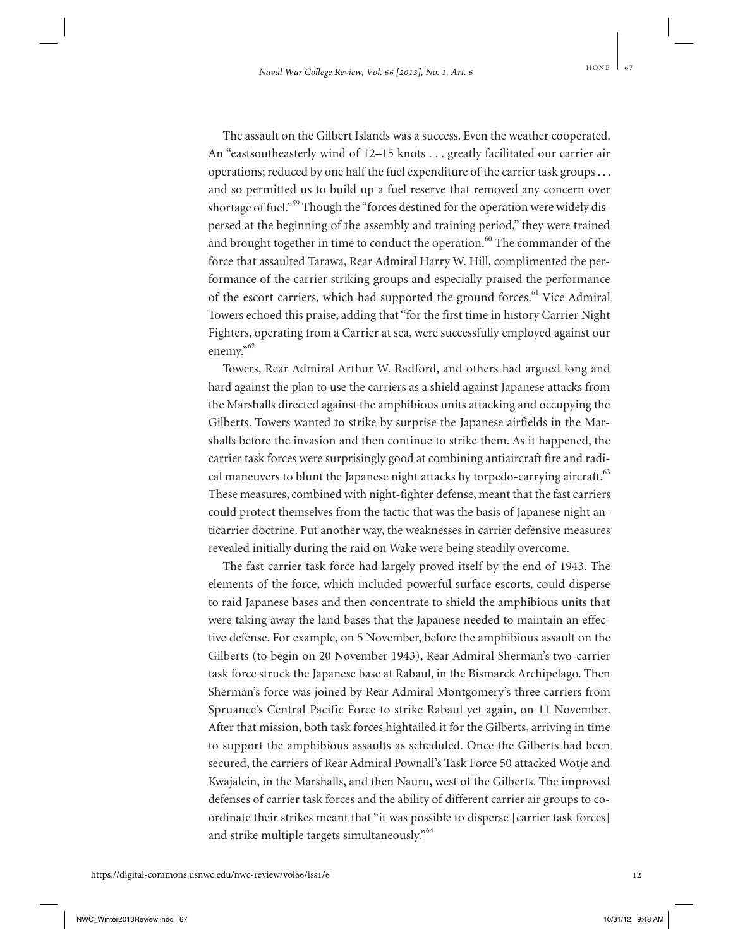The assault on the Gilbert Islands was a success. Even the weather cooperated. An "eastsoutheasterly wind of 12–15 knots . . . greatly facilitated our carrier air operations; reduced by one half the fuel expenditure of the carrier task groups . . . and so permitted us to build up a fuel reserve that removed any concern over shortage of fuel."<sup>59</sup> Though the "forces destined for the operation were widely dispersed at the beginning of the assembly and training period," they were trained and brought together in time to conduct the operation.<sup>60</sup> The commander of the force that assaulted Tarawa, Rear Admiral Harry W. Hill, complimented the performance of the carrier striking groups and especially praised the performance of the escort carriers, which had supported the ground forces.<sup>61</sup> Vice Admiral Towers echoed this praise, adding that "for the first time in history Carrier Night Fighters, operating from a Carrier at sea, were successfully employed against our enemy."<sup>62</sup>

Towers, Rear Admiral Arthur W. Radford, and others had argued long and hard against the plan to use the carriers as a shield against Japanese attacks from the Marshalls directed against the amphibious units attacking and occupying the Gilberts. Towers wanted to strike by surprise the Japanese airfields in the Marshalls before the invasion and then continue to strike them. As it happened, the carrier task forces were surprisingly good at combining antiaircraft fire and radical maneuvers to blunt the Japanese night attacks by torpedo-carrying aircraft.<sup>63</sup> These measures, combined with night-fighter defense, meant that the fast carriers could protect themselves from the tactic that was the basis of Japanese night anticarrier doctrine. Put another way, the weaknesses in carrier defensive measures revealed initially during the raid on Wake were being steadily overcome.

The fast carrier task force had largely proved itself by the end of 1943. The elements of the force, which included powerful surface escorts, could disperse to raid Japanese bases and then concentrate to shield the amphibious units that were taking away the land bases that the Japanese needed to maintain an effective defense. For example, on 5 November, before the amphibious assault on the Gilberts (to begin on 20 November 1943), Rear Admiral Sherman's two-carrier task force struck the Japanese base at Rabaul, in the Bismarck Archipelago. Then Sherman's force was joined by Rear Admiral Montgomery's three carriers from Spruance's Central Pacific Force to strike Rabaul yet again, on 11 November. After that mission, both task forces hightailed it for the Gilberts, arriving in time to support the amphibious assaults as scheduled. Once the Gilberts had been secured, the carriers of Rear Admiral Pownall's Task Force 50 attacked Wotje and Kwajalein, in the Marshalls, and then Nauru, west of the Gilberts. The improved defenses of carrier task forces and the ability of different carrier air groups to coordinate their strikes meant that "it was possible to disperse [carrier task forces] and strike multiple targets simultaneously."<sup>64</sup>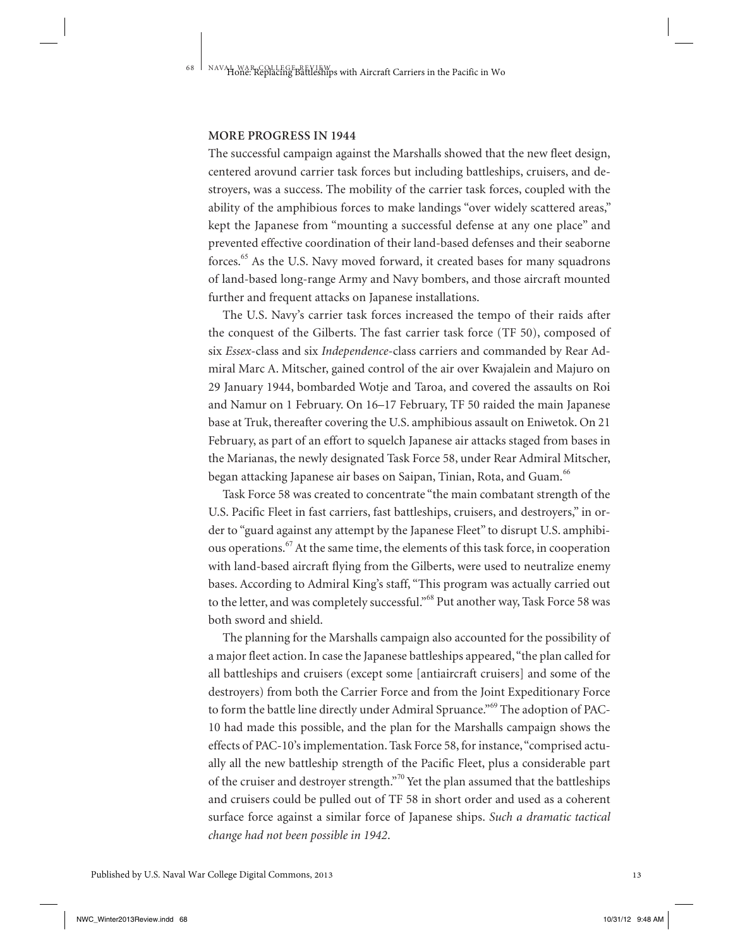#### **MORE PROGRESS IN 1944**

The successful campaign against the Marshalls showed that the new fleet design, centered arovund carrier task forces but including battleships, cruisers, and destroyers, was a success. The mobility of the carrier task forces, coupled with the ability of the amphibious forces to make landings "over widely scattered areas," kept the Japanese from "mounting a successful defense at any one place" and prevented effective coordination of their land-based defenses and their seaborne forces.<sup>65</sup> As the U.S. Navy moved forward, it created bases for many squadrons of land-based long-range Army and Navy bombers, and those aircraft mounted further and frequent attacks on Japanese installations.

The U.S. Navy's carrier task forces increased the tempo of their raids after the conquest of the Gilberts. The fast carrier task force (TF 50), composed of six *Essex*-class and six *Independence*-class carriers and commanded by Rear Admiral Marc A. Mitscher, gained control of the air over Kwajalein and Majuro on 29 January 1944, bombarded Wotje and Taroa, and covered the assaults on Roi and Namur on 1 February. On 16–17 February, TF 50 raided the main Japanese base at Truk, thereafter covering the U.S. amphibious assault on Eniwetok. On 21 February, as part of an effort to squelch Japanese air attacks staged from bases in the Marianas, the newly designated Task Force 58, under Rear Admiral Mitscher, began attacking Japanese air bases on Saipan, Tinian, Rota, and Guam.<sup>66</sup>

Task Force 58 was created to concentrate "the main combatant strength of the U.S. Pacific Fleet in fast carriers, fast battleships, cruisers, and destroyers," in order to "guard against any attempt by the Japanese Fleet" to disrupt U.S. amphibious operations.<sup>67</sup> At the same time, the elements of this task force, in cooperation with land-based aircraft flying from the Gilberts, were used to neutralize enemy bases. According to Admiral King's staff, "This program was actually carried out to the letter, and was completely successful."<sup>68</sup> Put another way, Task Force 58 was both sword and shield.

The planning for the Marshalls campaign also accounted for the possibility of a major fleet action. In case the Japanese battleships appeared, "the plan called for all battleships and cruisers (except some [antiaircraft cruisers] and some of the destroyers) from both the Carrier Force and from the Joint Expeditionary Force to form the battle line directly under Admiral Spruance."<sup>69</sup> The adoption of PAC-10 had made this possible, and the plan for the Marshalls campaign shows the effects of PAC-10's implementation. Task Force 58, for instance, "comprised actually all the new battleship strength of the Pacific Fleet, plus a considerable part of the cruiser and destroyer strength."<sup>70</sup> Yet the plan assumed that the battleships and cruisers could be pulled out of TF 58 in short order and used as a coherent surface force against a similar force of Japanese ships. *Such a dramatic tactical change had not been possible in 1942*.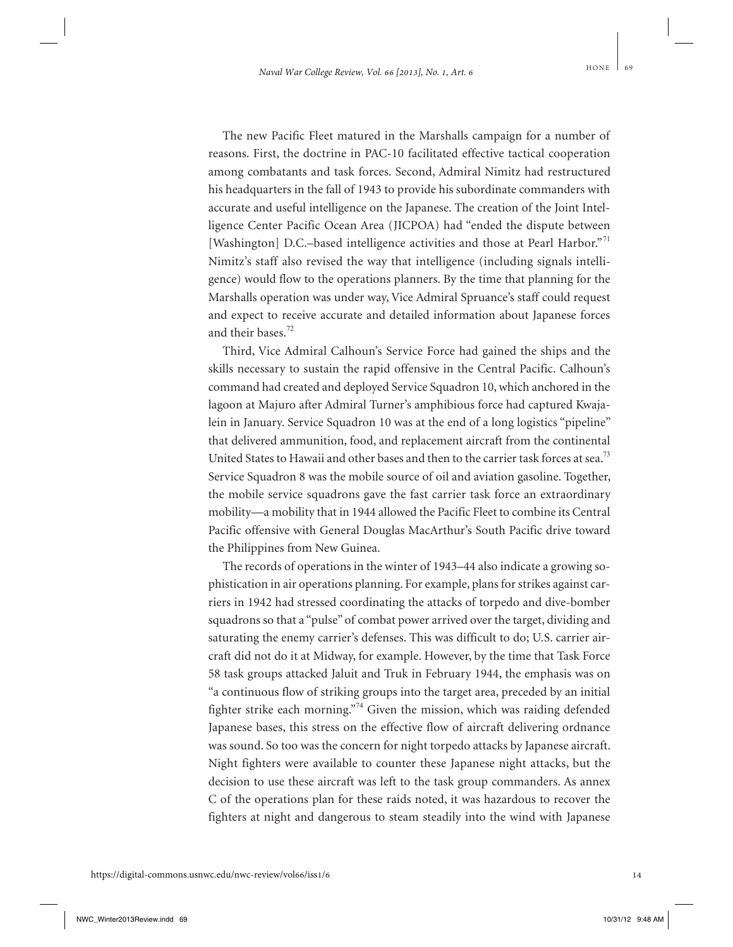The new Pacific Fleet matured in the Marshalls campaign for a number of reasons. First, the doctrine in PAC-10 facilitated effective tactical cooperation among combatants and task forces. Second, Admiral Nimitz had restructured his headquarters in the fall of 1943 to provide his subordinate commanders with accurate and useful intelligence on the Japanese. The creation of the Joint Intelligence Center Pacific Ocean Area (JICPOA) had "ended the dispute between [Washington] D.C.-based intelligence activities and those at Pearl Harbor."<sup>71</sup> Nimitz's staff also revised the way that intelligence (including signals intelligence) would flow to the operations planners. By the time that planning for the Marshalls operation was under way, Vice Admiral Spruance's staff could request and expect to receive accurate and detailed information about Japanese forces and their bases.<sup>72</sup>

Third, Vice Admiral Calhoun's Service Force had gained the ships and the skills necessary to sustain the rapid offensive in the Central Pacific. Calhoun's command had created and deployed Service Squadron 10, which anchored in the lagoon at Majuro after Admiral Turner's amphibious force had captured Kwajalein in January. Service Squadron 10 was at the end of a long logistics "pipeline" that delivered ammunition, food, and replacement aircraft from the continental United States to Hawaii and other bases and then to the carrier task forces at sea.<sup>73</sup> Service Squadron 8 was the mobile source of oil and aviation gasoline. Together, the mobile service squadrons gave the fast carrier task force an extraordinary mobility—a mobility that in 1944 allowed the Pacific Fleet to combine its Central Pacific offensive with General Douglas MacArthur's South Pacific drive toward the Philippines from New Guinea.

The records of operations in the winter of 1943–44 also indicate a growing sophistication in air operations planning. For example, plans for strikes against carriers in 1942 had stressed coordinating the attacks of torpedo and dive-bomber squadrons so that a "pulse" of combat power arrived over the target, dividing and saturating the enemy carrier's defenses. This was difficult to do; U.S. carrier aircraft did not do it at Midway, for example. However, by the time that Task Force 58 task groups attacked Jaluit and Truk in February 1944, the emphasis was on "a continuous flow of striking groups into the target area, preceded by an initial fighter strike each morning."<sup>74</sup> Given the mission, which was raiding defended Japanese bases, this stress on the effective flow of aircraft delivering ordnance was sound. So too was the concern for night torpedo attacks by Japanese aircraft. Night fighters were available to counter these Japanese night attacks, but the decision to use these aircraft was left to the task group commanders. As annex C of the operations plan for these raids noted, it was hazardous to recover the fighters at night and dangerous to steam steadily into the wind with Japanese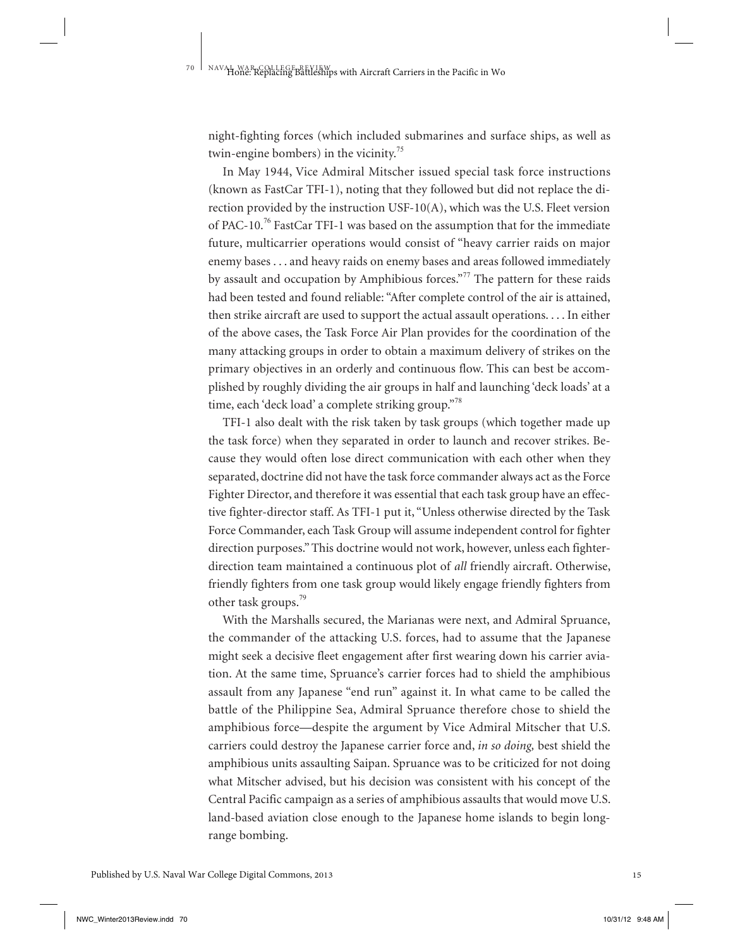night-fighting forces (which included submarines and surface ships, as well as twin-engine bombers) in the vicinity.<sup>75</sup>

In May 1944, Vice Admiral Mitscher issued special task force instructions (known as FastCar TFI-1), noting that they followed but did not replace the direction provided by the instruction USF-10(A), which was the U.S. Fleet version of PAC-10.<sup>76</sup> FastCar TFI-1 was based on the assumption that for the immediate future, multicarrier operations would consist of "heavy carrier raids on major enemy bases . . . and heavy raids on enemy bases and areas followed immediately by assault and occupation by Amphibious forces."<sup>77</sup> The pattern for these raids had been tested and found reliable: "After complete control of the air is attained, then strike aircraft are used to support the actual assault operations. . . . In either of the above cases, the Task Force Air Plan provides for the coordination of the many attacking groups in order to obtain a maximum delivery of strikes on the primary objectives in an orderly and continuous flow. This can best be accomplished by roughly dividing the air groups in half and launching 'deck loads' at a time, each 'deck load' a complete striking group."<sup>78</sup>

TFI-1 also dealt with the risk taken by task groups (which together made up the task force) when they separated in order to launch and recover strikes. Because they would often lose direct communication with each other when they separated, doctrine did not have the task force commander always act as the Force Fighter Director, and therefore it was essential that each task group have an effective fighter-director staff. As TFI-1 put it, "Unless otherwise directed by the Task Force Commander, each Task Group will assume independent control for fighter direction purposes." This doctrine would not work, however, unless each fighterdirection team maintained a continuous plot of *all* friendly aircraft. Otherwise, friendly fighters from one task group would likely engage friendly fighters from other task groups.<sup>79</sup>

With the Marshalls secured, the Marianas were next, and Admiral Spruance, the commander of the attacking U.S. forces, had to assume that the Japanese might seek a decisive fleet engagement after first wearing down his carrier aviation. At the same time, Spruance's carrier forces had to shield the amphibious assault from any Japanese "end run" against it. In what came to be called the battle of the Philippine Sea, Admiral Spruance therefore chose to shield the amphibious force—despite the argument by Vice Admiral Mitscher that U.S. carriers could destroy the Japanese carrier force and, *in so doing,* best shield the amphibious units assaulting Saipan. Spruance was to be criticized for not doing what Mitscher advised, but his decision was consistent with his concept of the Central Pacific campaign as a series of amphibious assaults that would move U.S. land-based aviation close enough to the Japanese home islands to begin longrange bombing.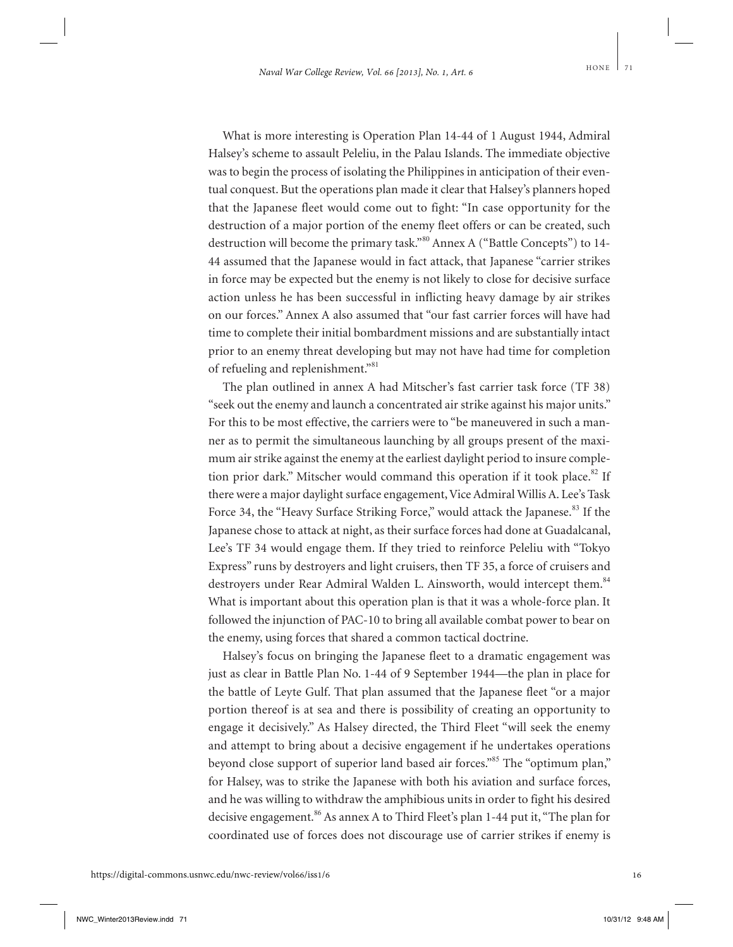What is more interesting is Operation Plan 14-44 of 1 August 1944, Admiral Halsey's scheme to assault Peleliu, in the Palau Islands. The immediate objective was to begin the process of isolating the Philippines in anticipation of their eventual conquest. But the operations plan made it clear that Halsey's planners hoped that the Japanese fleet would come out to fight: "In case opportunity for the destruction of a major portion of the enemy fleet offers or can be created, such destruction will become the primary task."<sup>80</sup> Annex A ("Battle Concepts") to 14-44 assumed that the Japanese would in fact attack, that Japanese "carrier strikes in force may be expected but the enemy is not likely to close for decisive surface action unless he has been successful in inflicting heavy damage by air strikes on our forces." Annex A also assumed that "our fast carrier forces will have had time to complete their initial bombardment missions and are substantially intact prior to an enemy threat developing but may not have had time for completion of refueling and replenishment."<sup>81</sup>

The plan outlined in annex A had Mitscher's fast carrier task force (TF 38) "seek out the enemy and launch a concentrated air strike against his major units." For this to be most effective, the carriers were to "be maneuvered in such a manner as to permit the simultaneous launching by all groups present of the maximum air strike against the enemy at the earliest daylight period to insure completion prior dark." Mitscher would command this operation if it took place. $82$  If there were a major daylight surface engagement, Vice Admiral Willis A. Lee's Task Force 34, the "Heavy Surface Striking Force," would attack the Japanese.<sup>83</sup> If the Japanese chose to attack at night, as their surface forces had done at Guadalcanal, Lee's TF 34 would engage them. If they tried to reinforce Peleliu with "Tokyo Express" runs by destroyers and light cruisers, then TF 35, a force of cruisers and destroyers under Rear Admiral Walden L. Ainsworth, would intercept them.<sup>84</sup> What is important about this operation plan is that it was a whole-force plan. It followed the injunction of PAC-10 to bring all available combat power to bear on the enemy, using forces that shared a common tactical doctrine.

Halsey's focus on bringing the Japanese fleet to a dramatic engagement was just as clear in Battle Plan No. 1-44 of 9 September 1944—the plan in place for the battle of Leyte Gulf. That plan assumed that the Japanese fleet "or a major portion thereof is at sea and there is possibility of creating an opportunity to engage it decisively." As Halsey directed, the Third Fleet "will seek the enemy and attempt to bring about a decisive engagement if he undertakes operations beyond close support of superior land based air forces."<sup>85</sup> The "optimum plan," for Halsey, was to strike the Japanese with both his aviation and surface forces, and he was willing to withdraw the amphibious units in order to fight his desired decisive engagement.<sup>86</sup> As annex A to Third Fleet's plan 1-44 put it, "The plan for coordinated use of forces does not discourage use of carrier strikes if enemy is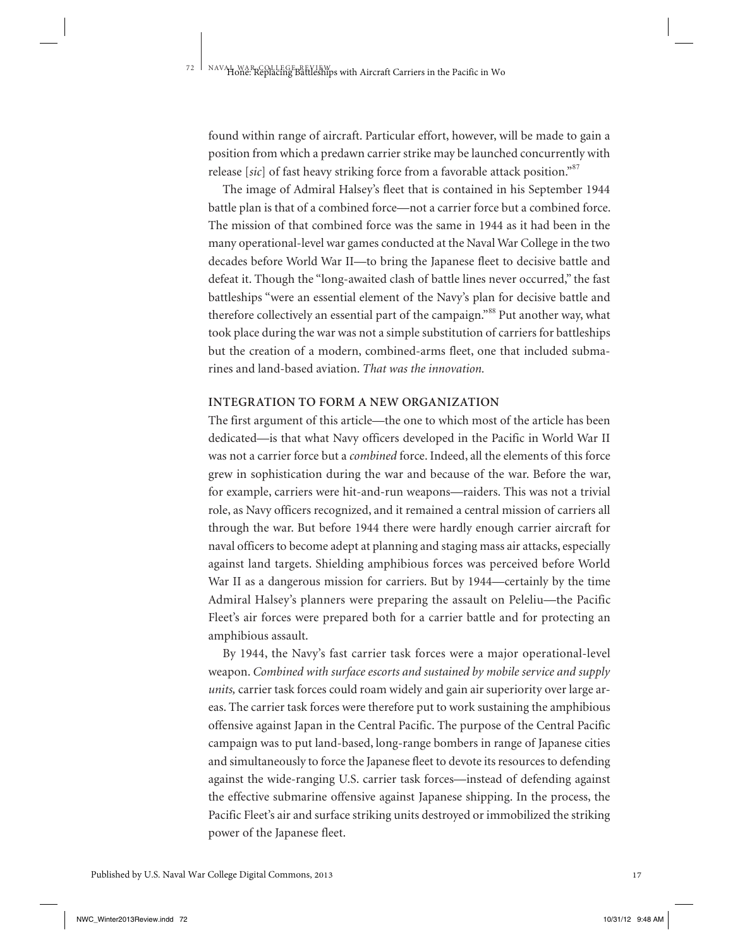found within range of aircraft. Particular effort, however, will be made to gain a position from which a predawn carrier strike may be launched concurrently with release [sic] of fast heavy striking force from a favorable attack position."<sup>87</sup>

The image of Admiral Halsey's fleet that is contained in his September 1944 battle plan is that of a combined force—not a carrier force but a combined force. The mission of that combined force was the same in 1944 as it had been in the many operational-level war games conducted at the Naval War College in the two decades before World War II—to bring the Japanese fleet to decisive battle and defeat it. Though the "long-awaited clash of battle lines never occurred," the fast battleships "were an essential element of the Navy's plan for decisive battle and therefore collectively an essential part of the campaign."<sup>88</sup> Put another way, what took place during the war was not a simple substitution of carriers for battleships but the creation of a modern, combined-arms fleet, one that included submarines and land-based aviation. *That was the innovation.*

#### **INTEGRATION TO FORM A NEW ORGANIZATION**

The first argument of this article—the one to which most of the article has been dedicated—is that what Navy officers developed in the Pacific in World War II was not a carrier force but a *combined* force. Indeed, all the elements of this force grew in sophistication during the war and because of the war. Before the war, for example, carriers were hit-and-run weapons—raiders. This was not a trivial role, as Navy officers recognized, and it remained a central mission of carriers all through the war. But before 1944 there were hardly enough carrier aircraft for naval officers to become adept at planning and staging mass air attacks, especially against land targets. Shielding amphibious forces was perceived before World War II as a dangerous mission for carriers. But by 1944—certainly by the time Admiral Halsey's planners were preparing the assault on Peleliu—the Pacific Fleet's air forces were prepared both for a carrier battle and for protecting an amphibious assault.

By 1944, the Navy's fast carrier task forces were a major operational-level weapon. *Combined with surface escorts and sustained by mobile service and supply units,* carrier task forces could roam widely and gain air superiority over large areas. The carrier task forces were therefore put to work sustaining the amphibious offensive against Japan in the Central Pacific. The purpose of the Central Pacific campaign was to put land-based, long-range bombers in range of Japanese cities and simultaneously to force the Japanese fleet to devote its resources to defending against the wide-ranging U.S. carrier task forces—instead of defending against the effective submarine offensive against Japanese shipping. In the process, the Pacific Fleet's air and surface striking units destroyed or immobilized the striking power of the Japanese fleet.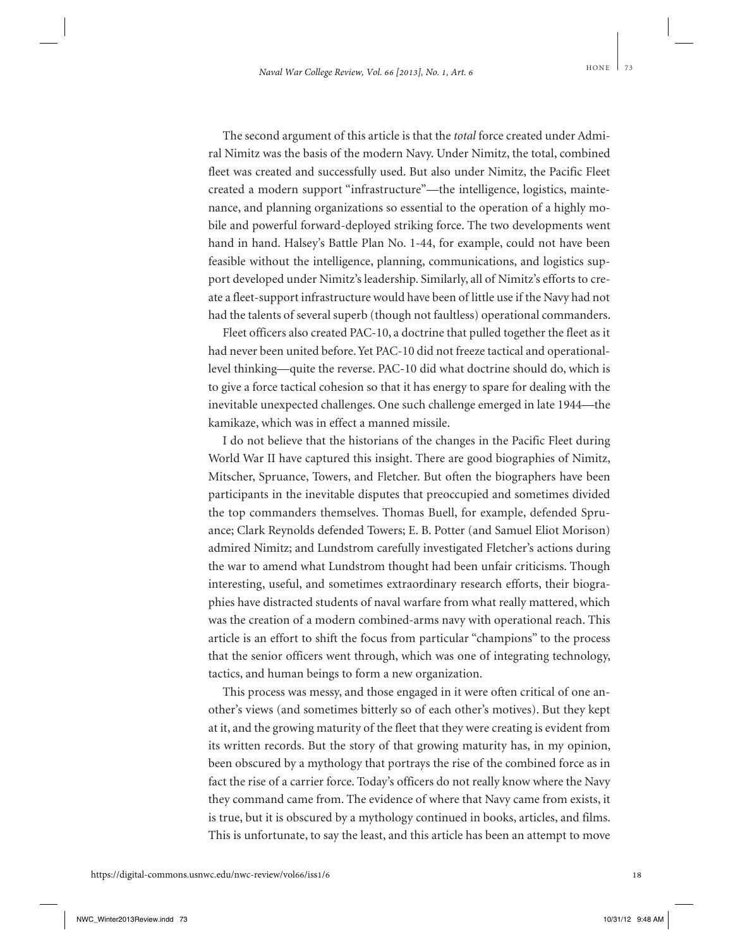The second argument of this article is that the *total* force created under Admiral Nimitz was the basis of the modern Navy. Under Nimitz, the total, combined fleet was created and successfully used. But also under Nimitz, the Pacific Fleet created a modern support "infrastructure"—the intelligence, logistics, maintenance, and planning organizations so essential to the operation of a highly mobile and powerful forward-deployed striking force. The two developments went hand in hand. Halsey's Battle Plan No. 1-44, for example, could not have been feasible without the intelligence, planning, communications, and logistics support developed under Nimitz's leadership. Similarly, all of Nimitz's efforts to create a fleet-support infrastructure would have been of little use if the Navy had not had the talents of several superb (though not faultless) operational commanders.

Fleet officers also created PAC-10, a doctrine that pulled together the fleet as it had never been united before. Yet PAC-10 did not freeze tactical and operationallevel thinking—quite the reverse. PAC-10 did what doctrine should do, which is to give a force tactical cohesion so that it has energy to spare for dealing with the inevitable unexpected challenges. One such challenge emerged in late 1944—the kamikaze, which was in effect a manned missile.

I do not believe that the historians of the changes in the Pacific Fleet during World War II have captured this insight. There are good biographies of Nimitz, Mitscher, Spruance, Towers, and Fletcher. But often the biographers have been participants in the inevitable disputes that preoccupied and sometimes divided the top commanders themselves. Thomas Buell, for example, defended Spruance; Clark Reynolds defended Towers; E. B. Potter (and Samuel Eliot Morison) admired Nimitz; and Lundstrom carefully investigated Fletcher's actions during the war to amend what Lundstrom thought had been unfair criticisms. Though interesting, useful, and sometimes extraordinary research efforts, their biographies have distracted students of naval warfare from what really mattered, which was the creation of a modern combined-arms navy with operational reach. This article is an effort to shift the focus from particular "champions" to the process that the senior officers went through, which was one of integrating technology, tactics, and human beings to form a new organization.

This process was messy, and those engaged in it were often critical of one another's views (and sometimes bitterly so of each other's motives). But they kept at it, and the growing maturity of the fleet that they were creating is evident from its written records. But the story of that growing maturity has, in my opinion, been obscured by a mythology that portrays the rise of the combined force as in fact the rise of a carrier force. Today's officers do not really know where the Navy they command came from. The evidence of where that Navy came from exists, it is true, but it is obscured by a mythology continued in books, articles, and films. This is unfortunate, to say the least, and this article has been an attempt to move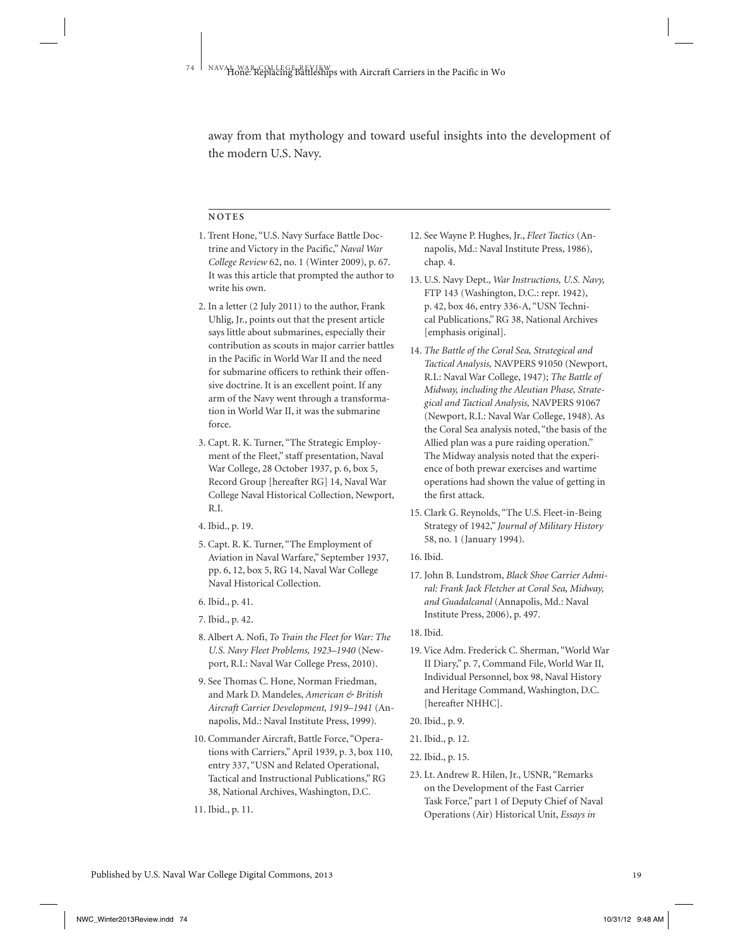away from that mythology and toward useful insights into the development of the modern U.S. Navy.

#### **N O T E S**

- 1. Trent Hone, "U.S. Navy Surface Battle Doctrine and Victory in the Pacific," *Naval War College Review* 62, no. 1 (Winter 2009), p. 67. It was this article that prompted the author to write his own.
- 2. In a letter (2 July 2011) to the author, Frank Uhlig, Jr., points out that the present article says little about submarines, especially their contribution as scouts in major carrier battles in the Pacific in World War II and the need for submarine officers to rethink their offensive doctrine. It is an excellent point. If any arm of the Navy went through a transformation in World War II, it was the submarine force.
- 3. Capt. R. K. Turner, "The Strategic Employment of the Fleet," staff presentation, Naval War College, 28 October 1937, p. 6, box 5, Record Group [hereafter RG] 14, Naval War College Naval Historical Collection, Newport, R.I.
- 4. Ibid., p. 19.
- 5. Capt. R. K. Turner, "The Employment of Aviation in Naval Warfare," September 1937, pp. 6, 12, box 5, RG 14, Naval War College Naval Historical Collection.
- 6. Ibid., p. 41.
- 7. Ibid., p. 42.
- 8. Albert A. Nofi, *To Train the Fleet for War: The U.S. Navy Fleet Problems, 1923–1940* (Newport, R.I.: Naval War College Press, 2010).
- 9. See Thomas C. Hone, Norman Friedman, and Mark D. Mandeles, *American & British Aircraft Carrier Development, 1919–1941* (Annapolis, Md.: Naval Institute Press, 1999).
- 10. Commander Aircraft, Battle Force, "Operations with Carriers," April 1939, p. 3, box 110, entry 337, "USN and Related Operational, Tactical and Instructional Publications," RG 38, National Archives, Washington, D.C.
- 11. Ibid., p. 11.
- 12. See Wayne P. Hughes, Jr., *Fleet Tactics* (Annapolis, Md.: Naval Institute Press, 1986), chap. 4.
- 13. U.S. Navy Dept., *War Instructions, U.S. Navy,* FTP 143 (Washington, D.C.: repr. 1942), p. 42, box 46, entry 336-A, "USN Technical Publications," RG 38, National Archives [emphasis original].
- 14. *The Battle of the Coral Sea, Strategical and Tactical Analysis,* NAVPERS 91050 (Newport, R.I.: Naval War College, 1947); *The Battle of Midway, including the Aleutian Phase, Strategical and Tactical Analysis,* NAVPERS 91067 (Newport, R.I.: Naval War College, 1948). As the Coral Sea analysis noted, "the basis of the Allied plan was a pure raiding operation." The Midway analysis noted that the experience of both prewar exercises and wartime operations had shown the value of getting in the first attack.
- 15. Clark G. Reynolds, "The U.S. Fleet-in-Being Strategy of 1942," *Journal of Military History* 58, no. 1 (January 1994).
- 16. Ibid.
- 17. John B. Lundstrom, *Black Shoe Carrier Admiral: Frank Jack Fletcher at Coral Sea, Midway, and Guadalcanal* (Annapolis, Md.: Naval Institute Press, 2006), p. 497.
- 18. Ibid.
- 19. Vice Adm. Frederick C. Sherman, "World War II Diary," p. 7, Command File, World War II, Individual Personnel, box 98, Naval History and Heritage Command, Washington, D.C. [hereafter NHHC].
- 20. Ibid., p. 9.
- 21. Ibid., p. 12.
- 22. Ibid., p. 15.
- 23. Lt. Andrew R. Hilen, Jr., USNR, "Remarks on the Development of the Fast Carrier Task Force," part 1 of Deputy Chief of Naval Operations (Air) Historical Unit, *Essays in*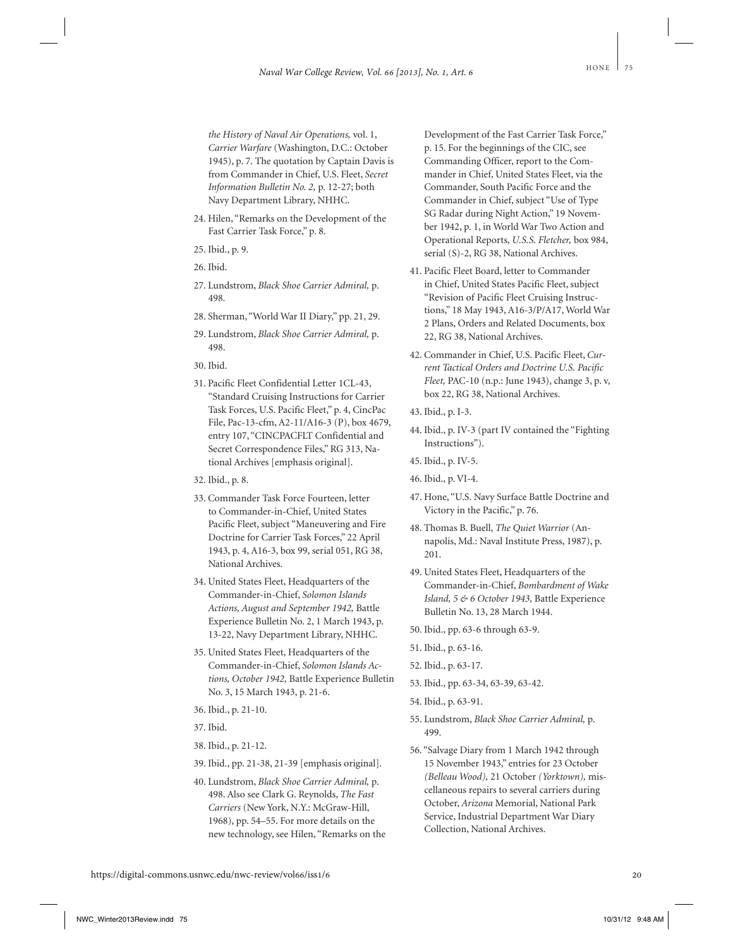- 24. Hilen, "Remarks on the Development of the Fast Carrier Task Force," p. 8.
- 25. Ibid., p. 9.
- 26. Ibid.
- 27. Lundstrom, *Black Shoe Carrier Admiral,* p. 498.
- 28. Sherman, "World War II Diary," pp. 21, 29.
- 29. Lundstrom, *Black Shoe Carrier Admiral,* p. 498.
- 30. Ibid.
- 31. Pacific Fleet Confidential Letter 1CL-43, "Standard Cruising Instructions for Carrier Task Forces, U.S. Pacific Fleet," p. 4, CincPac File, Pac-13-cfm, A2-11/A16-3 (P), box 4679, entry 107, "CINCPACFLT Confidential and Secret Correspondence Files," RG 313, National Archives [emphasis original].
- 32. Ibid., p. 8.
- 33. Commander Task Force Fourteen, letter to Commander-in-Chief, United States Pacific Fleet, subject "Maneuvering and Fire Doctrine for Carrier Task Forces," 22 April 1943, p. 4, A16-3, box 99, serial 051, RG 38, National Archives.
- 34. United States Fleet, Headquarters of the Commander-in-Chief, *Solomon Islands Actions, August and September 1942,* Battle Experience Bulletin No. 2, 1 March 1943, p. 13-22, Navy Department Library, NHHC.
- 35. United States Fleet, Headquarters of the Commander-in-Chief, *Solomon Islands Actions, October 1942,* Battle Experience Bulletin No. 3, 15 March 1943, p. 21-6.
- 36. Ibid., p. 21-10.
- 37. Ibid.
- 38. Ibid., p. 21-12.
- 39. Ibid., pp. 21-38, 21-39 [emphasis original].
- 40. Lundstrom, *Black Shoe Carrier Admiral,* p. 498. Also see Clark G. Reynolds, *The Fast Carriers* (New York, N.Y.: McGraw-Hill, 1968), pp. 54–55. For more details on the new technology, see Hilen, "Remarks on the

Development of the Fast Carrier Task Force," p. 15. For the beginnings of the CIC, see Commanding Officer, report to the Commander in Chief, United States Fleet, via the Commander, South Pacific Force and the Commander in Chief, subject "Use of Type SG Radar during Night Action," 19 November 1942, p. 1, in World War Two Action and Operational Reports, *U.S.S. Fletcher,* box 984, serial (S)-2, RG 38, National Archives.

- 41. Pacific Fleet Board, letter to Commander in Chief, United States Pacific Fleet, subject "Revision of Pacific Fleet Cruising Instructions," 18 May 1943, A16-3/P/A17, World War 2 Plans, Orders and Related Documents, box 22, RG 38, National Archives.
- 42. Commander in Chief, U.S. Pacific Fleet, *Current Tactical Orders and Doctrine U.S. Pacific Fleet,* PAC-10 (n.p.: June 1943), change 3, p. v, box 22, RG 38, National Archives.
- 43. Ibid., p. I-3.
- 44. Ibid., p. IV-3 (part IV contained the "Fighting Instructions").
- 45. Ibid., p. IV-5.
- 46. Ibid., p. VI-4.
- 47. Hone, "U.S. Navy Surface Battle Doctrine and Victory in the Pacific," p. 76.
- 48. Thomas B. Buell, *The Quiet Warrior* (Annapolis, Md.: Naval Institute Press, 1987), p. 201.
- 49. United States Fleet, Headquarters of the Commander-in-Chief, *Bombardment of Wake Island, 5 & 6 October 1943,* Battle Experience Bulletin No. 13, 28 March 1944.
- 50. Ibid., pp. 63-6 through 63-9.
- 51. Ibid., p. 63-16.
- 52. Ibid., p. 63-17.
- 53. Ibid., pp. 63-34, 63-39, 63-42.
- 54. Ibid., p. 63-91.
- 55. Lundstrom, *Black Shoe Carrier Admiral,* p. 499.
- 56. "Salvage Diary from 1 March 1942 through 15 November 1943," entries for 23 October *(Belleau Wood),* 21 October *(Yorktown),* miscellaneous repairs to several carriers during October, *Arizona* Memorial, National Park Service, Industrial Department War Diary Collection, National Archives.